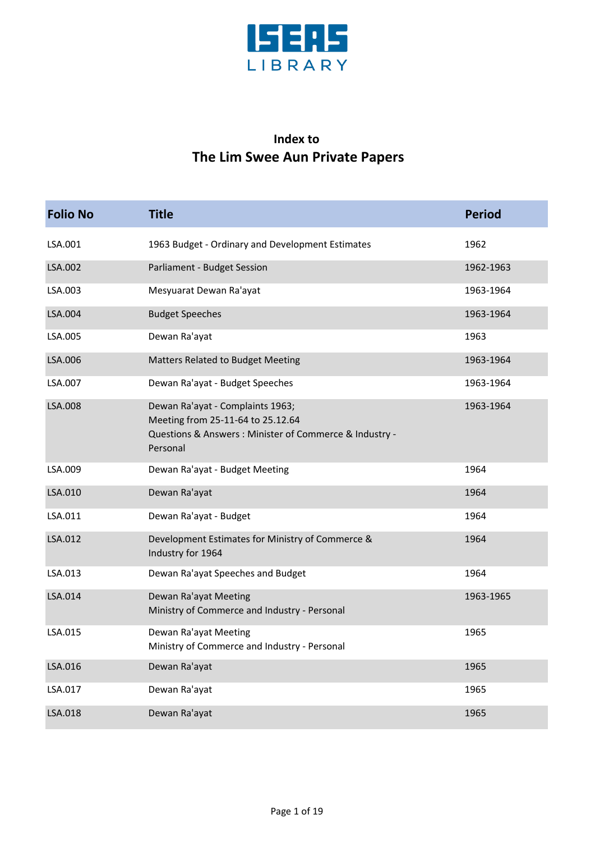

## **Index to The Lim Swee Aun Private Papers**

| <b>Folio No</b> | <b>Title</b>                                                                                                                                 | <b>Period</b> |
|-----------------|----------------------------------------------------------------------------------------------------------------------------------------------|---------------|
| LSA.001         | 1963 Budget - Ordinary and Development Estimates                                                                                             | 1962          |
| LSA.002         | Parliament - Budget Session                                                                                                                  | 1962-1963     |
| LSA.003         | Mesyuarat Dewan Ra'ayat                                                                                                                      | 1963-1964     |
| LSA.004         | <b>Budget Speeches</b>                                                                                                                       | 1963-1964     |
| LSA.005         | Dewan Ra'ayat                                                                                                                                | 1963          |
| LSA.006         | <b>Matters Related to Budget Meeting</b>                                                                                                     | 1963-1964     |
| LSA.007         | Dewan Ra'ayat - Budget Speeches                                                                                                              | 1963-1964     |
| LSA.008         | Dewan Ra'ayat - Complaints 1963;<br>Meeting from 25-11-64 to 25.12.64<br>Questions & Answers : Minister of Commerce & Industry -<br>Personal | 1963-1964     |
| LSA.009         | Dewan Ra'ayat - Budget Meeting                                                                                                               | 1964          |
| LSA.010         | Dewan Ra'ayat                                                                                                                                | 1964          |
| LSA.011         | Dewan Ra'ayat - Budget                                                                                                                       | 1964          |
| LSA.012         | Development Estimates for Ministry of Commerce &<br>Industry for 1964                                                                        | 1964          |
| LSA.013         | Dewan Ra'ayat Speeches and Budget                                                                                                            | 1964          |
| LSA.014         | Dewan Ra'ayat Meeting<br>Ministry of Commerce and Industry - Personal                                                                        | 1963-1965     |
| LSA.015         | Dewan Ra'ayat Meeting<br>Ministry of Commerce and Industry - Personal                                                                        | 1965          |
| LSA.016         | Dewan Ra'ayat                                                                                                                                | 1965          |
| LSA.017         | Dewan Ra'ayat                                                                                                                                | 1965          |
| LSA.018         | Dewan Ra'ayat                                                                                                                                | 1965          |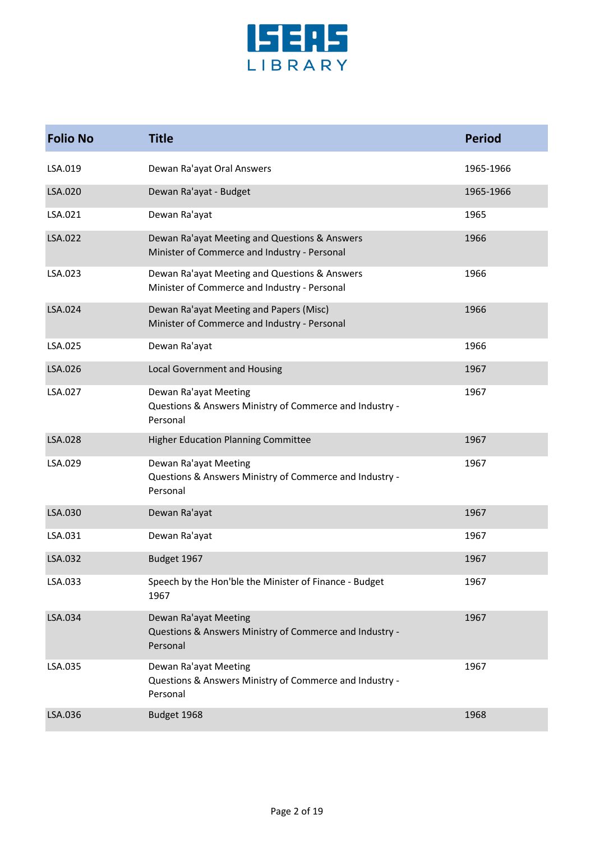

| <b>Folio No</b> | <b>Title</b>                                                                                  | <b>Period</b> |
|-----------------|-----------------------------------------------------------------------------------------------|---------------|
| LSA.019         | Dewan Ra'ayat Oral Answers                                                                    | 1965-1966     |
| LSA.020         | Dewan Ra'ayat - Budget                                                                        | 1965-1966     |
| LSA.021         | Dewan Ra'ayat                                                                                 | 1965          |
| LSA.022         | Dewan Ra'ayat Meeting and Questions & Answers<br>Minister of Commerce and Industry - Personal | 1966          |
| LSA.023         | Dewan Ra'ayat Meeting and Questions & Answers<br>Minister of Commerce and Industry - Personal | 1966          |
| LSA.024         | Dewan Ra'ayat Meeting and Papers (Misc)<br>Minister of Commerce and Industry - Personal       | 1966          |
| LSA.025         | Dewan Ra'ayat                                                                                 | 1966          |
| LSA.026         | <b>Local Government and Housing</b>                                                           | 1967          |
| LSA.027         | Dewan Ra'ayat Meeting<br>Questions & Answers Ministry of Commerce and Industry -<br>Personal  | 1967          |
| LSA.028         | <b>Higher Education Planning Committee</b>                                                    | 1967          |
| LSA.029         | Dewan Ra'ayat Meeting<br>Questions & Answers Ministry of Commerce and Industry -<br>Personal  | 1967          |
| LSA.030         | Dewan Ra'ayat                                                                                 | 1967          |
| LSA.031         | Dewan Ra'ayat                                                                                 | 1967          |
| LSA.032         | Budget 1967                                                                                   | 1967          |
| LSA.033         | Speech by the Hon'ble the Minister of Finance - Budget<br>1967                                | 1967          |
| LSA.034         | Dewan Ra'ayat Meeting<br>Questions & Answers Ministry of Commerce and Industry -<br>Personal  | 1967          |
| LSA.035         | Dewan Ra'ayat Meeting<br>Questions & Answers Ministry of Commerce and Industry -<br>Personal  | 1967          |
| LSA.036         | Budget 1968                                                                                   | 1968          |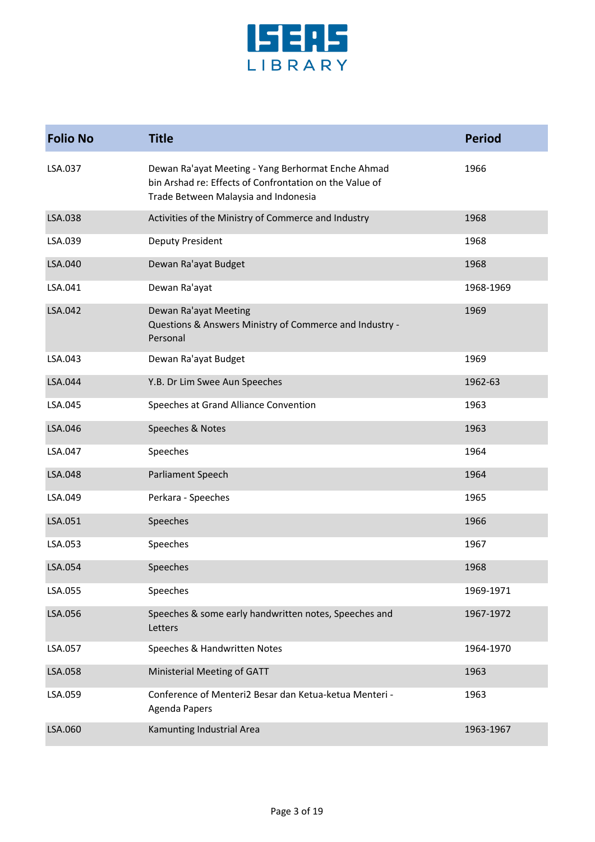

| <b>Folio No</b> | <b>Title</b>                                                                                                                                          | <b>Period</b> |
|-----------------|-------------------------------------------------------------------------------------------------------------------------------------------------------|---------------|
| LSA.037         | Dewan Ra'ayat Meeting - Yang Berhormat Enche Ahmad<br>bin Arshad re: Effects of Confrontation on the Value of<br>Trade Between Malaysia and Indonesia | 1966          |
| LSA.038         | Activities of the Ministry of Commerce and Industry                                                                                                   | 1968          |
| LSA.039         | Deputy President                                                                                                                                      | 1968          |
| LSA.040         | Dewan Ra'ayat Budget                                                                                                                                  | 1968          |
| LSA.041         | Dewan Ra'ayat                                                                                                                                         | 1968-1969     |
| LSA.042         | Dewan Ra'ayat Meeting<br>Questions & Answers Ministry of Commerce and Industry -<br>Personal                                                          | 1969          |
| LSA.043         | Dewan Ra'ayat Budget                                                                                                                                  | 1969          |
| LSA.044         | Y.B. Dr Lim Swee Aun Speeches                                                                                                                         | 1962-63       |
| LSA.045         | Speeches at Grand Alliance Convention                                                                                                                 | 1963          |
| LSA.046         | Speeches & Notes                                                                                                                                      | 1963          |
| LSA.047         | Speeches                                                                                                                                              | 1964          |
| LSA.048         | Parliament Speech                                                                                                                                     | 1964          |
| LSA.049         | Perkara - Speeches                                                                                                                                    | 1965          |
| LSA.051         | Speeches                                                                                                                                              | 1966          |
| LSA.053         | Speeches                                                                                                                                              | 1967          |
| LSA.054         | Speeches                                                                                                                                              | 1968          |
| LSA.055         | Speeches                                                                                                                                              | 1969-1971     |
| LSA.056         | Speeches & some early handwritten notes, Speeches and<br>Letters                                                                                      | 1967-1972     |
| LSA.057         | Speeches & Handwritten Notes                                                                                                                          | 1964-1970     |
| LSA.058         | Ministerial Meeting of GATT                                                                                                                           | 1963          |
| LSA.059         | Conference of Menteri2 Besar dan Ketua-ketua Menteri -<br><b>Agenda Papers</b>                                                                        | 1963          |
| LSA.060         | Kamunting Industrial Area                                                                                                                             | 1963-1967     |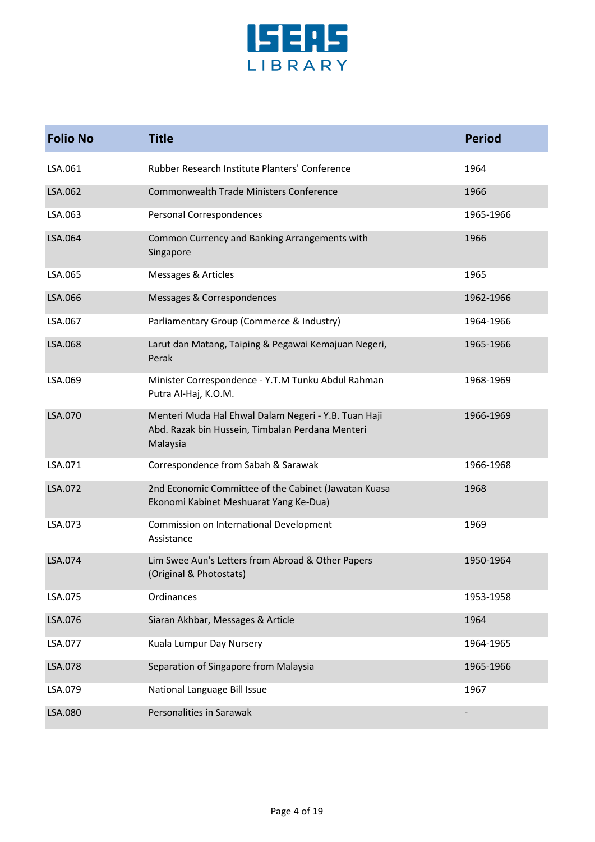

| <b>Folio No</b> | <b>Title</b>                                                                                                         | <b>Period</b> |
|-----------------|----------------------------------------------------------------------------------------------------------------------|---------------|
| LSA.061         | Rubber Research Institute Planters' Conference                                                                       | 1964          |
| LSA.062         | Commonwealth Trade Ministers Conference                                                                              | 1966          |
| LSA.063         | Personal Correspondences                                                                                             | 1965-1966     |
| LSA.064         | Common Currency and Banking Arrangements with<br>Singapore                                                           | 1966          |
| LSA.065         | Messages & Articles                                                                                                  | 1965          |
| LSA.066         | Messages & Correspondences                                                                                           | 1962-1966     |
| LSA.067         | Parliamentary Group (Commerce & Industry)                                                                            | 1964-1966     |
| LSA.068         | Larut dan Matang, Taiping & Pegawai Kemajuan Negeri,<br>Perak                                                        | 1965-1966     |
| LSA.069         | Minister Correspondence - Y.T.M Tunku Abdul Rahman<br>Putra Al-Haj, K.O.M.                                           | 1968-1969     |
| LSA.070         | Menteri Muda Hal Ehwal Dalam Negeri - Y.B. Tuan Haji<br>Abd. Razak bin Hussein, Timbalan Perdana Menteri<br>Malaysia | 1966-1969     |
| LSA.071         | Correspondence from Sabah & Sarawak                                                                                  | 1966-1968     |
| LSA.072         | 2nd Economic Committee of the Cabinet (Jawatan Kuasa<br>Ekonomi Kabinet Meshuarat Yang Ke-Dua)                       | 1968          |
| LSA.073         | Commission on International Development<br>Assistance                                                                | 1969          |
| LSA.074         | Lim Swee Aun's Letters from Abroad & Other Papers<br>(Original & Photostats)                                         | 1950-1964     |
| LSA.075         | Ordinances                                                                                                           | 1953-1958     |
| LSA.076         | Siaran Akhbar, Messages & Article                                                                                    | 1964          |
| LSA.077         | Kuala Lumpur Day Nursery                                                                                             | 1964-1965     |
| LSA.078         | Separation of Singapore from Malaysia                                                                                | 1965-1966     |
| LSA.079         | National Language Bill Issue                                                                                         | 1967          |
| LSA.080         | Personalities in Sarawak                                                                                             |               |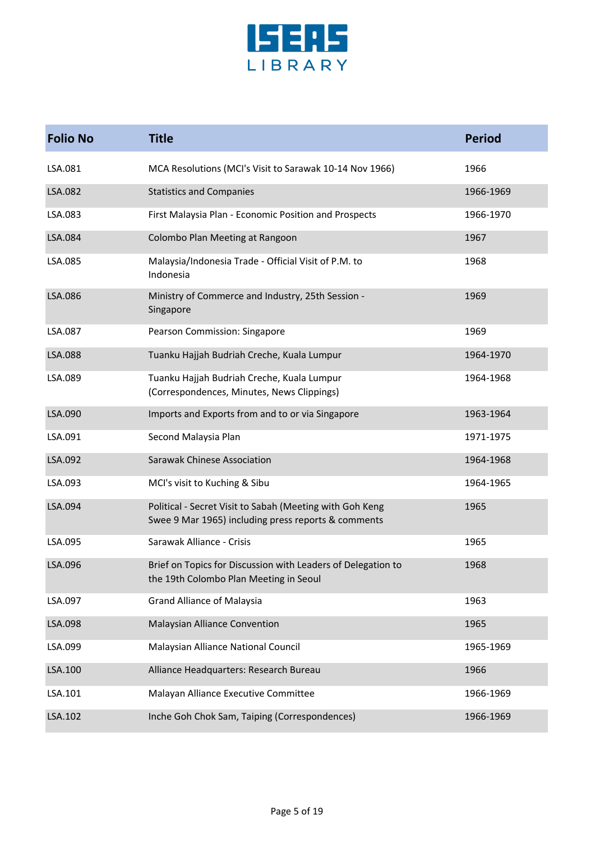

| <b>Folio No</b> | <b>Title</b>                                                                                                    | <b>Period</b> |
|-----------------|-----------------------------------------------------------------------------------------------------------------|---------------|
| LSA.081         | MCA Resolutions (MCI's Visit to Sarawak 10-14 Nov 1966)                                                         | 1966          |
| LSA.082         | <b>Statistics and Companies</b>                                                                                 | 1966-1969     |
| LSA.083         | First Malaysia Plan - Economic Position and Prospects                                                           | 1966-1970     |
| LSA.084         | Colombo Plan Meeting at Rangoon                                                                                 | 1967          |
| LSA.085         | Malaysia/Indonesia Trade - Official Visit of P.M. to<br>Indonesia                                               | 1968          |
| LSA.086         | Ministry of Commerce and Industry, 25th Session -<br>Singapore                                                  | 1969          |
| LSA.087         | Pearson Commission: Singapore                                                                                   | 1969          |
| LSA.088         | Tuanku Hajjah Budriah Creche, Kuala Lumpur                                                                      | 1964-1970     |
| LSA.089         | Tuanku Hajjah Budriah Creche, Kuala Lumpur<br>(Correspondences, Minutes, News Clippings)                        | 1964-1968     |
| LSA.090         | Imports and Exports from and to or via Singapore                                                                | 1963-1964     |
| LSA.091         | Second Malaysia Plan                                                                                            | 1971-1975     |
| LSA.092         | <b>Sarawak Chinese Association</b>                                                                              | 1964-1968     |
| LSA.093         | MCI's visit to Kuching & Sibu                                                                                   | 1964-1965     |
| LSA.094         | Political - Secret Visit to Sabah (Meeting with Goh Keng<br>Swee 9 Mar 1965) including press reports & comments | 1965          |
| LSA.095         | Sarawak Alliance - Crisis                                                                                       | 1965          |
| LSA.096         | Brief on Topics for Discussion with Leaders of Delegation to<br>the 19th Colombo Plan Meeting in Seoul          | 1968          |
| LSA.097         | <b>Grand Alliance of Malaysia</b>                                                                               | 1963          |
| LSA.098         | Malaysian Alliance Convention                                                                                   | 1965          |
| LSA.099         | Malaysian Alliance National Council                                                                             | 1965-1969     |
| LSA.100         | Alliance Headquarters: Research Bureau                                                                          | 1966          |
| LSA.101         | Malayan Alliance Executive Committee                                                                            | 1966-1969     |
| LSA.102         | Inche Goh Chok Sam, Taiping (Correspondences)                                                                   | 1966-1969     |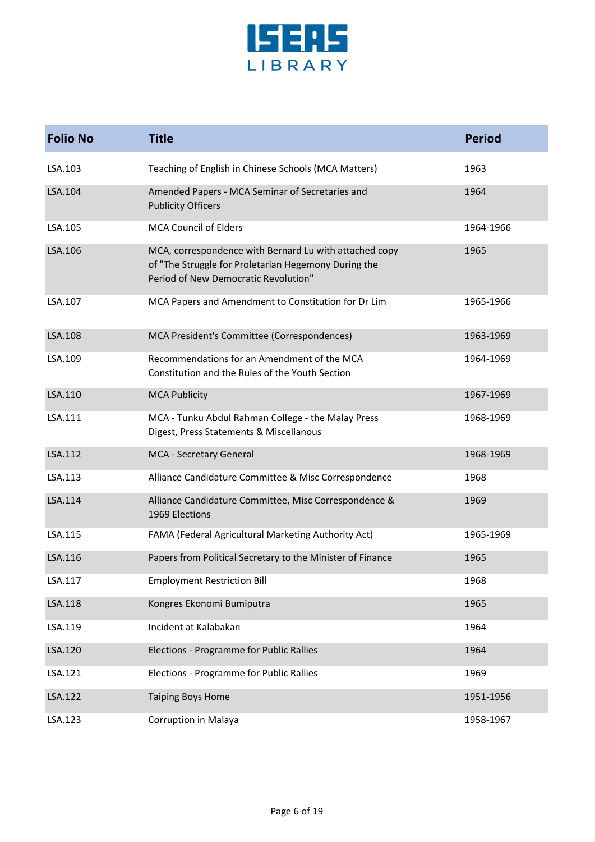

| <b>Folio No</b> | <b>Title</b>                                                                                                                                           | <b>Period</b> |
|-----------------|--------------------------------------------------------------------------------------------------------------------------------------------------------|---------------|
| LSA.103         | Teaching of English in Chinese Schools (MCA Matters)                                                                                                   | 1963          |
| LSA.104         | Amended Papers - MCA Seminar of Secretaries and<br><b>Publicity Officers</b>                                                                           | 1964          |
| LSA.105         | <b>MCA Council of Elders</b>                                                                                                                           | 1964-1966     |
| LSA.106         | MCA, correspondence with Bernard Lu with attached copy<br>of "The Struggle for Proletarian Hegemony During the<br>Period of New Democratic Revolution" | 1965          |
| LSA.107         | MCA Papers and Amendment to Constitution for Dr Lim                                                                                                    | 1965-1966     |
| LSA.108         | MCA President's Committee (Correspondences)                                                                                                            | 1963-1969     |
| LSA.109         | Recommendations for an Amendment of the MCA<br>Constitution and the Rules of the Youth Section                                                         | 1964-1969     |
| LSA.110         | <b>MCA Publicity</b>                                                                                                                                   | 1967-1969     |
| LSA.111         | MCA - Tunku Abdul Rahman College - the Malay Press<br>Digest, Press Statements & Miscellanous                                                          | 1968-1969     |
| LSA.112         | MCA - Secretary General                                                                                                                                | 1968-1969     |
| LSA.113         | Alliance Candidature Committee & Misc Correspondence                                                                                                   | 1968          |
| LSA.114         | Alliance Candidature Committee, Misc Correspondence &<br>1969 Elections                                                                                | 1969          |
| LSA.115         | FAMA (Federal Agricultural Marketing Authority Act)                                                                                                    | 1965-1969     |
| LSA.116         | Papers from Political Secretary to the Minister of Finance                                                                                             | 1965          |
| LSA.117         | <b>Employment Restriction Bill</b>                                                                                                                     | 1968          |
| LSA.118         | Kongres Ekonomi Bumiputra                                                                                                                              | 1965          |
| LSA.119         | Incident at Kalabakan                                                                                                                                  | 1964          |
| LSA.120         | Elections - Programme for Public Rallies                                                                                                               | 1964          |
| LSA.121         | Elections - Programme for Public Rallies                                                                                                               | 1969          |
| LSA.122         | <b>Taiping Boys Home</b>                                                                                                                               | 1951-1956     |
| LSA.123         | Corruption in Malaya                                                                                                                                   | 1958-1967     |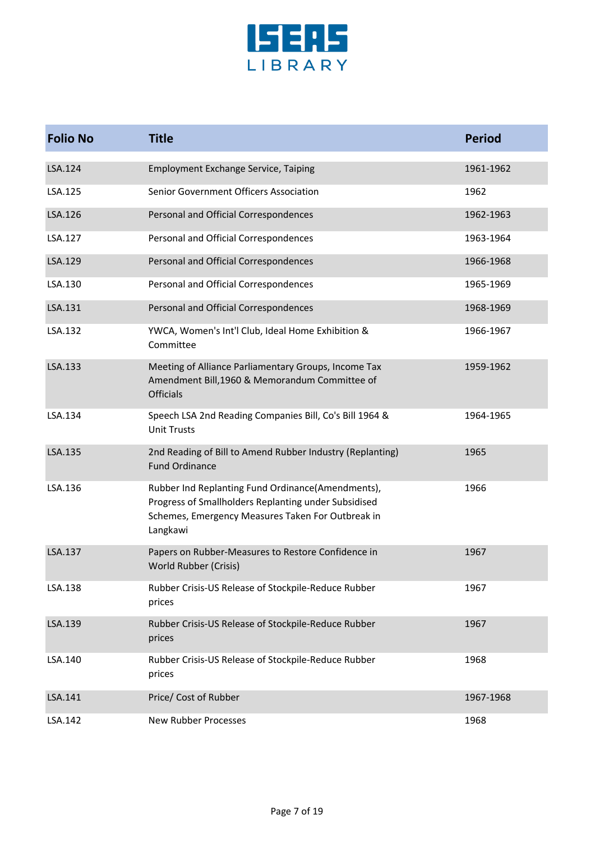

| <b>Folio No</b> | <b>Title</b>                                                                                                                                                               | <b>Period</b> |
|-----------------|----------------------------------------------------------------------------------------------------------------------------------------------------------------------------|---------------|
| LSA.124         | <b>Employment Exchange Service, Taiping</b>                                                                                                                                | 1961-1962     |
| LSA.125         | Senior Government Officers Association                                                                                                                                     | 1962          |
| LSA.126         | Personal and Official Correspondences                                                                                                                                      | 1962-1963     |
| LSA.127         | Personal and Official Correspondences                                                                                                                                      | 1963-1964     |
| LSA.129         | Personal and Official Correspondences                                                                                                                                      | 1966-1968     |
| LSA.130         | Personal and Official Correspondences                                                                                                                                      | 1965-1969     |
| LSA.131         | Personal and Official Correspondences                                                                                                                                      | 1968-1969     |
| LSA.132         | YWCA, Women's Int'l Club, Ideal Home Exhibition &<br>Committee                                                                                                             | 1966-1967     |
| LSA.133         | Meeting of Alliance Parliamentary Groups, Income Tax<br>Amendment Bill, 1960 & Memorandum Committee of<br><b>Officials</b>                                                 | 1959-1962     |
| LSA.134         | Speech LSA 2nd Reading Companies Bill, Co's Bill 1964 &<br><b>Unit Trusts</b>                                                                                              | 1964-1965     |
| LSA.135         | 2nd Reading of Bill to Amend Rubber Industry (Replanting)<br><b>Fund Ordinance</b>                                                                                         | 1965          |
| LSA.136         | Rubber Ind Replanting Fund Ordinance(Amendments),<br>Progress of Smallholders Replanting under Subsidised<br>Schemes, Emergency Measures Taken For Outbreak in<br>Langkawi | 1966          |
| LSA.137         | Papers on Rubber-Measures to Restore Confidence in<br>World Rubber (Crisis)                                                                                                | 1967          |
| LSA.138         | Rubber Crisis-US Release of Stockpile-Reduce Rubber<br>prices                                                                                                              | 1967          |
| LSA.139         | Rubber Crisis-US Release of Stockpile-Reduce Rubber<br>prices                                                                                                              | 1967          |
| LSA.140         | Rubber Crisis-US Release of Stockpile-Reduce Rubber<br>prices                                                                                                              | 1968          |
| LSA.141         | Price/ Cost of Rubber                                                                                                                                                      | 1967-1968     |
| LSA.142         | New Rubber Processes                                                                                                                                                       | 1968          |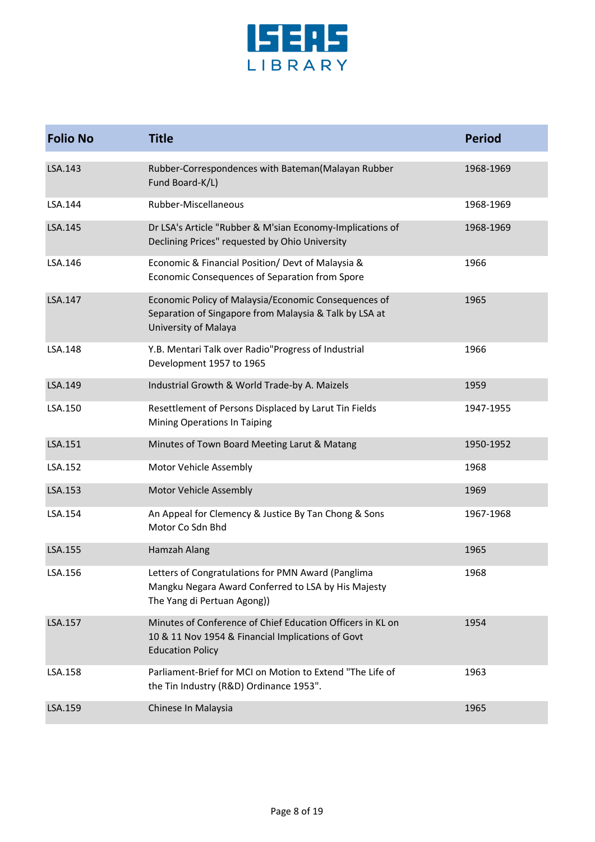

| <b>Folio No</b> | <b>Title</b>                                                                                                                               | <b>Period</b> |
|-----------------|--------------------------------------------------------------------------------------------------------------------------------------------|---------------|
| LSA.143         | Rubber-Correspondences with Bateman(Malayan Rubber<br>Fund Board-K/L)                                                                      | 1968-1969     |
| LSA.144         | Rubber-Miscellaneous                                                                                                                       | 1968-1969     |
| LSA.145         | Dr LSA's Article "Rubber & M'sian Economy-Implications of<br>Declining Prices" requested by Ohio University                                | 1968-1969     |
| LSA.146         | Economic & Financial Position/ Devt of Malaysia &<br>Economic Consequences of Separation from Spore                                        | 1966          |
| LSA.147         | Economic Policy of Malaysia/Economic Consequences of<br>Separation of Singapore from Malaysia & Talk by LSA at<br>University of Malaya     | 1965          |
| LSA.148         | Y.B. Mentari Talk over Radio"Progress of Industrial<br>Development 1957 to 1965                                                            | 1966          |
| LSA.149         | Industrial Growth & World Trade-by A. Maizels                                                                                              | 1959          |
| LSA.150         | Resettlement of Persons Displaced by Larut Tin Fields<br>Mining Operations In Taiping                                                      | 1947-1955     |
| LSA.151         | Minutes of Town Board Meeting Larut & Matang                                                                                               | 1950-1952     |
| LSA.152         | Motor Vehicle Assembly                                                                                                                     | 1968          |
| LSA.153         | Motor Vehicle Assembly                                                                                                                     | 1969          |
| LSA.154         | An Appeal for Clemency & Justice By Tan Chong & Sons<br>Motor Co Sdn Bhd                                                                   | 1967-1968     |
| LSA.155         | Hamzah Alang                                                                                                                               | 1965          |
| LSA.156         | Letters of Congratulations for PMN Award (Panglima<br>Mangku Negara Award Conferred to LSA by His Majesty<br>The Yang di Pertuan Agong))   | 1968          |
| LSA.157         | Minutes of Conference of Chief Education Officers in KL on<br>10 & 11 Nov 1954 & Financial Implications of Govt<br><b>Education Policy</b> | 1954          |
| LSA.158         | Parliament-Brief for MCI on Motion to Extend "The Life of<br>the Tin Industry (R&D) Ordinance 1953".                                       | 1963          |
| LSA.159         | Chinese In Malaysia                                                                                                                        | 1965          |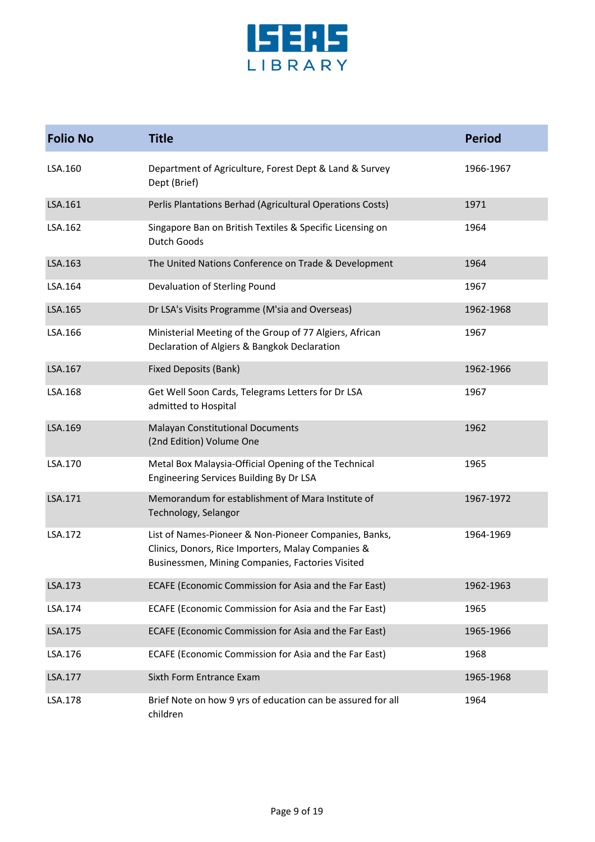

| <b>Folio No</b> | <b>Title</b>                                                                                                                                                    | <b>Period</b> |
|-----------------|-----------------------------------------------------------------------------------------------------------------------------------------------------------------|---------------|
| LSA.160         | Department of Agriculture, Forest Dept & Land & Survey<br>Dept (Brief)                                                                                          | 1966-1967     |
| LSA.161         | Perlis Plantations Berhad (Agricultural Operations Costs)                                                                                                       | 1971          |
| LSA.162         | Singapore Ban on British Textiles & Specific Licensing on<br><b>Dutch Goods</b>                                                                                 | 1964          |
| LSA.163         | The United Nations Conference on Trade & Development                                                                                                            | 1964          |
| LSA.164         | Devaluation of Sterling Pound                                                                                                                                   | 1967          |
| LSA.165         | Dr LSA's Visits Programme (M'sia and Overseas)                                                                                                                  | 1962-1968     |
| LSA.166         | Ministerial Meeting of the Group of 77 Algiers, African<br>Declaration of Algiers & Bangkok Declaration                                                         | 1967          |
| LSA.167         | Fixed Deposits (Bank)                                                                                                                                           | 1962-1966     |
| LSA.168         | Get Well Soon Cards, Telegrams Letters for Dr LSA<br>admitted to Hospital                                                                                       | 1967          |
| LSA.169         | <b>Malayan Constitutional Documents</b><br>(2nd Edition) Volume One                                                                                             | 1962          |
| LSA.170         | Metal Box Malaysia-Official Opening of the Technical<br>Engineering Services Building By Dr LSA                                                                 | 1965          |
| LSA.171         | Memorandum for establishment of Mara Institute of<br>Technology, Selangor                                                                                       | 1967-1972     |
| LSA.172         | List of Names-Pioneer & Non-Pioneer Companies, Banks,<br>Clinics, Donors, Rice Importers, Malay Companies &<br>Businessmen, Mining Companies, Factories Visited | 1964-1969     |
| LSA.173         | ECAFE (Economic Commission for Asia and the Far East)                                                                                                           | 1962-1963     |
| LSA.174         | ECAFE (Economic Commission for Asia and the Far East)                                                                                                           | 1965          |
| LSA.175         | ECAFE (Economic Commission for Asia and the Far East)                                                                                                           | 1965-1966     |
| LSA.176         | ECAFE (Economic Commission for Asia and the Far East)                                                                                                           | 1968          |
| LSA.177         | Sixth Form Entrance Exam                                                                                                                                        | 1965-1968     |
| LSA.178         | Brief Note on how 9 yrs of education can be assured for all<br>children                                                                                         | 1964          |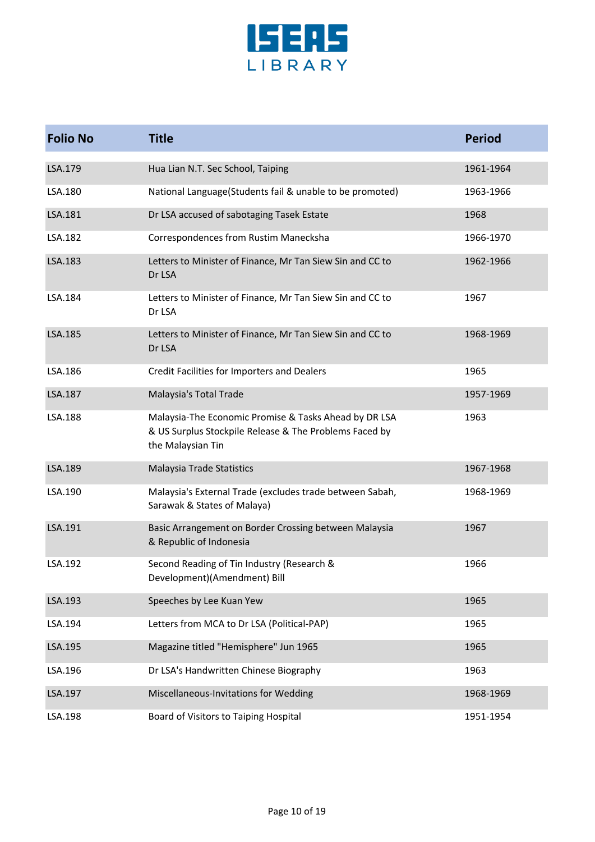

| <b>Folio No</b> | <b>Title</b>                                                                                                                         | <b>Period</b> |
|-----------------|--------------------------------------------------------------------------------------------------------------------------------------|---------------|
| LSA.179         | Hua Lian N.T. Sec School, Taiping                                                                                                    | 1961-1964     |
| LSA.180         | National Language(Students fail & unable to be promoted)                                                                             | 1963-1966     |
| LSA.181         | Dr LSA accused of sabotaging Tasek Estate                                                                                            | 1968          |
| LSA.182         | Correspondences from Rustim Manecksha                                                                                                | 1966-1970     |
| LSA.183         | Letters to Minister of Finance, Mr Tan Siew Sin and CC to<br>Dr LSA                                                                  | 1962-1966     |
| LSA.184         | Letters to Minister of Finance, Mr Tan Siew Sin and CC to<br>Dr LSA                                                                  | 1967          |
| LSA.185         | Letters to Minister of Finance, Mr Tan Siew Sin and CC to<br>Dr LSA                                                                  | 1968-1969     |
| LSA.186         | Credit Facilities for Importers and Dealers                                                                                          | 1965          |
| LSA.187         | Malaysia's Total Trade                                                                                                               | 1957-1969     |
| LSA.188         | Malaysia-The Economic Promise & Tasks Ahead by DR LSA<br>& US Surplus Stockpile Release & The Problems Faced by<br>the Malaysian Tin | 1963          |
| LSA.189         | Malaysia Trade Statistics                                                                                                            | 1967-1968     |
| LSA.190         | Malaysia's External Trade (excludes trade between Sabah,<br>Sarawak & States of Malaya)                                              | 1968-1969     |
| LSA.191         | Basic Arrangement on Border Crossing between Malaysia<br>& Republic of Indonesia                                                     | 1967          |
| LSA.192         | Second Reading of Tin Industry (Research &<br>Development)(Amendment) Bill                                                           | 1966          |
| LSA.193         | Speeches by Lee Kuan Yew                                                                                                             | 1965          |
| LSA.194         | Letters from MCA to Dr LSA (Political-PAP)                                                                                           | 1965          |
| LSA.195         | Magazine titled "Hemisphere" Jun 1965                                                                                                | 1965          |
| LSA.196         | Dr LSA's Handwritten Chinese Biography                                                                                               | 1963          |
| LSA.197         | Miscellaneous-Invitations for Wedding                                                                                                | 1968-1969     |
| LSA.198         | Board of Visitors to Taiping Hospital                                                                                                | 1951-1954     |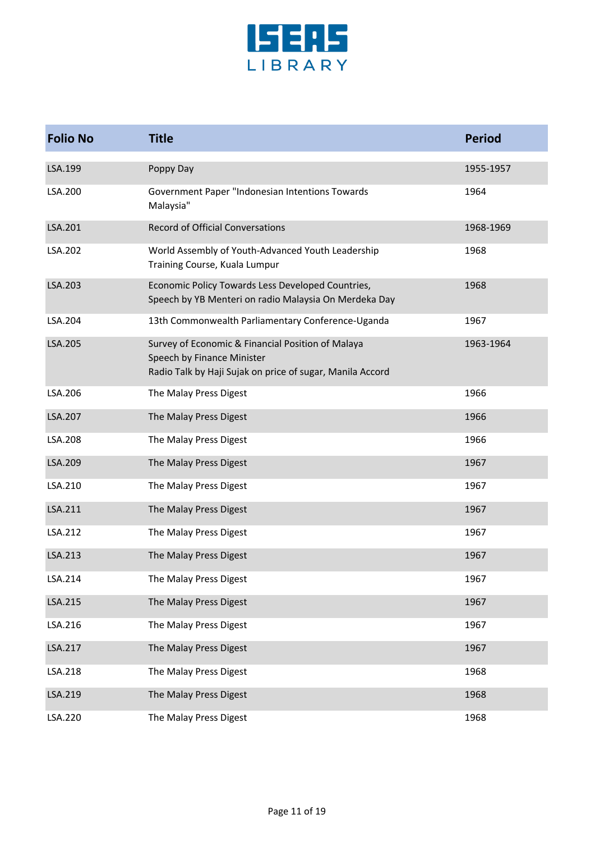

| <b>Folio No</b> | <b>Title</b>                                                                                                                                 | <b>Period</b> |
|-----------------|----------------------------------------------------------------------------------------------------------------------------------------------|---------------|
| LSA.199         | Poppy Day                                                                                                                                    | 1955-1957     |
| LSA.200         | Government Paper "Indonesian Intentions Towards<br>Malaysia"                                                                                 | 1964          |
| LSA.201         | <b>Record of Official Conversations</b>                                                                                                      | 1968-1969     |
| LSA.202         | World Assembly of Youth-Advanced Youth Leadership<br>Training Course, Kuala Lumpur                                                           | 1968          |
| LSA.203         | Economic Policy Towards Less Developed Countries,<br>Speech by YB Menteri on radio Malaysia On Merdeka Day                                   | 1968          |
| LSA.204         | 13th Commonwealth Parliamentary Conference-Uganda                                                                                            | 1967          |
| LSA.205         | Survey of Economic & Financial Position of Malaya<br>Speech by Finance Minister<br>Radio Talk by Haji Sujak on price of sugar, Manila Accord | 1963-1964     |
| LSA.206         | The Malay Press Digest                                                                                                                       | 1966          |
| LSA.207         | The Malay Press Digest                                                                                                                       | 1966          |
| LSA.208         | The Malay Press Digest                                                                                                                       | 1966          |
| LSA.209         | The Malay Press Digest                                                                                                                       | 1967          |
| LSA.210         | The Malay Press Digest                                                                                                                       | 1967          |
| LSA.211         | The Malay Press Digest                                                                                                                       | 1967          |
| LSA.212         | The Malay Press Digest                                                                                                                       | 1967          |
| LSA.213         | The Malay Press Digest                                                                                                                       | 1967          |
| LSA.214         | The Malay Press Digest                                                                                                                       | 1967          |
| LSA.215         | The Malay Press Digest                                                                                                                       | 1967          |
| LSA.216         | The Malay Press Digest                                                                                                                       | 1967          |
| LSA.217         | The Malay Press Digest                                                                                                                       | 1967          |
| LSA.218         | The Malay Press Digest                                                                                                                       | 1968          |
| LSA.219         | The Malay Press Digest                                                                                                                       | 1968          |
| LSA.220         | The Malay Press Digest                                                                                                                       | 1968          |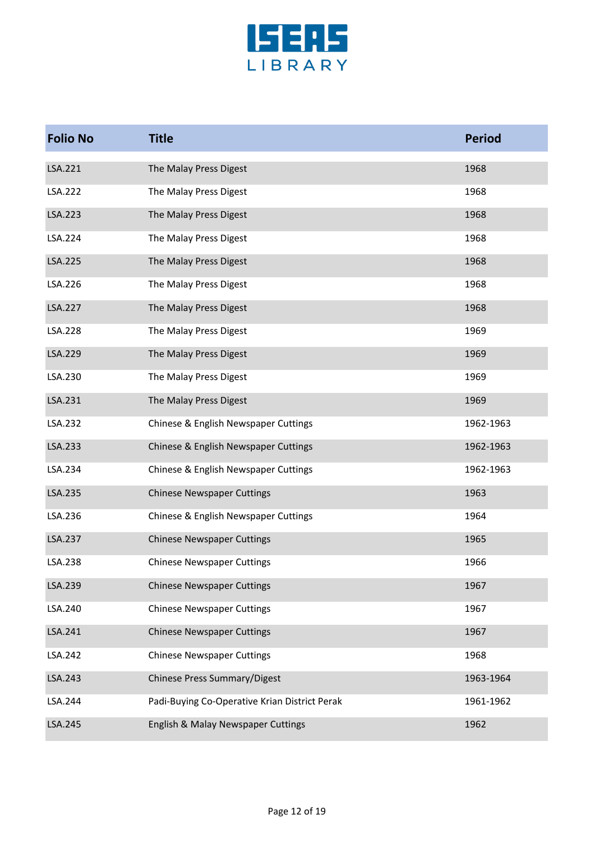

| <b>Folio No</b> | <b>Title</b>                                  | <b>Period</b> |
|-----------------|-----------------------------------------------|---------------|
| LSA.221         | The Malay Press Digest                        | 1968          |
| LSA.222         | The Malay Press Digest                        | 1968          |
| LSA.223         | The Malay Press Digest                        | 1968          |
| LSA.224         | The Malay Press Digest                        | 1968          |
| LSA.225         | The Malay Press Digest                        | 1968          |
| LSA.226         | The Malay Press Digest                        | 1968          |
| LSA.227         | The Malay Press Digest                        | 1968          |
| LSA.228         | The Malay Press Digest                        | 1969          |
| LSA.229         | The Malay Press Digest                        | 1969          |
| LSA.230         | The Malay Press Digest                        | 1969          |
| LSA.231         | The Malay Press Digest                        | 1969          |
| LSA.232         | Chinese & English Newspaper Cuttings          | 1962-1963     |
| LSA.233         | Chinese & English Newspaper Cuttings          | 1962-1963     |
| LSA.234         | Chinese & English Newspaper Cuttings          | 1962-1963     |
| LSA.235         | <b>Chinese Newspaper Cuttings</b>             | 1963          |
| LSA.236         | Chinese & English Newspaper Cuttings          | 1964          |
| LSA.237         | <b>Chinese Newspaper Cuttings</b>             | 1965          |
| LSA.238         | <b>Chinese Newspaper Cuttings</b>             | 1966          |
| LSA.239         | <b>Chinese Newspaper Cuttings</b>             | 1967          |
| LSA.240         | <b>Chinese Newspaper Cuttings</b>             | 1967          |
| LSA.241         | <b>Chinese Newspaper Cuttings</b>             | 1967          |
| LSA.242         | <b>Chinese Newspaper Cuttings</b>             | 1968          |
| LSA.243         | Chinese Press Summary/Digest                  | 1963-1964     |
| LSA.244         | Padi-Buying Co-Operative Krian District Perak | 1961-1962     |
| LSA.245         | English & Malay Newspaper Cuttings            | 1962          |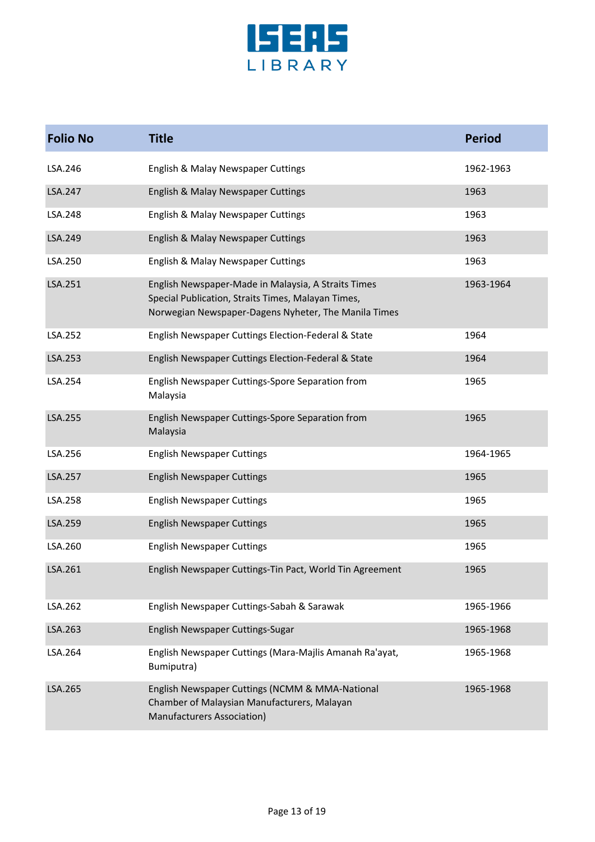

| <b>Folio No</b> | <b>Title</b>                                                                                                                                                      | <b>Period</b> |
|-----------------|-------------------------------------------------------------------------------------------------------------------------------------------------------------------|---------------|
| LSA.246         | English & Malay Newspaper Cuttings                                                                                                                                | 1962-1963     |
| <b>LSA.247</b>  | English & Malay Newspaper Cuttings                                                                                                                                | 1963          |
| LSA.248         | English & Malay Newspaper Cuttings                                                                                                                                | 1963          |
| LSA.249         | English & Malay Newspaper Cuttings                                                                                                                                | 1963          |
| LSA.250         | English & Malay Newspaper Cuttings                                                                                                                                | 1963          |
| LSA.251         | English Newspaper-Made in Malaysia, A Straits Times<br>Special Publication, Straits Times, Malayan Times,<br>Norwegian Newspaper-Dagens Nyheter, The Manila Times | 1963-1964     |
| LSA.252         | English Newspaper Cuttings Election-Federal & State                                                                                                               | 1964          |
| LSA.253         | English Newspaper Cuttings Election-Federal & State                                                                                                               | 1964          |
| LSA.254         | English Newspaper Cuttings-Spore Separation from<br>Malaysia                                                                                                      | 1965          |
| LSA.255         | English Newspaper Cuttings-Spore Separation from<br>Malaysia                                                                                                      | 1965          |
| LSA.256         | <b>English Newspaper Cuttings</b>                                                                                                                                 | 1964-1965     |
| LSA.257         | <b>English Newspaper Cuttings</b>                                                                                                                                 | 1965          |
| LSA.258         | <b>English Newspaper Cuttings</b>                                                                                                                                 | 1965          |
| LSA.259         | <b>English Newspaper Cuttings</b>                                                                                                                                 | 1965          |
| LSA.260         | <b>English Newspaper Cuttings</b>                                                                                                                                 | 1965          |
| LSA.261         | English Newspaper Cuttings-Tin Pact, World Tin Agreement                                                                                                          | 1965          |
| LSA.262         | English Newspaper Cuttings-Sabah & Sarawak                                                                                                                        | 1965-1966     |
| LSA.263         | English Newspaper Cuttings-Sugar                                                                                                                                  | 1965-1968     |
| LSA.264         | English Newspaper Cuttings (Mara-Majlis Amanah Ra'ayat,<br>Bumiputra)                                                                                             | 1965-1968     |
| LSA.265         | English Newspaper Cuttings (NCMM & MMA-National<br>Chamber of Malaysian Manufacturers, Malayan<br>Manufacturers Association)                                      | 1965-1968     |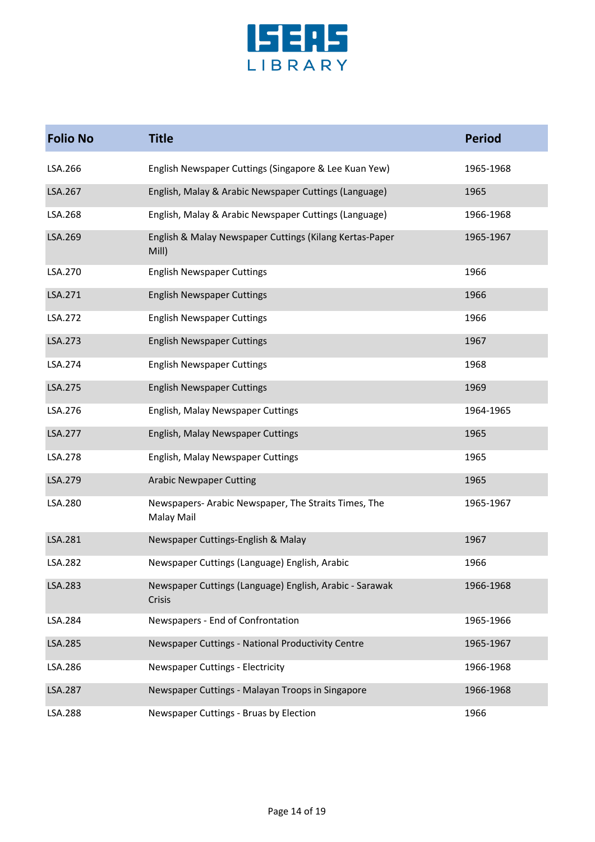

| <b>Folio No</b> | <b>Title</b>                                                       | <b>Period</b> |
|-----------------|--------------------------------------------------------------------|---------------|
| LSA.266         | English Newspaper Cuttings (Singapore & Lee Kuan Yew)              | 1965-1968     |
| LSA.267         | English, Malay & Arabic Newspaper Cuttings (Language)              | 1965          |
| LSA.268         | English, Malay & Arabic Newspaper Cuttings (Language)              | 1966-1968     |
| LSA.269         | English & Malay Newspaper Cuttings (Kilang Kertas-Paper<br>Mill)   | 1965-1967     |
| LSA.270         | <b>English Newspaper Cuttings</b>                                  | 1966          |
| LSA.271         | <b>English Newspaper Cuttings</b>                                  | 1966          |
| LSA.272         | <b>English Newspaper Cuttings</b>                                  | 1966          |
| LSA.273         | <b>English Newspaper Cuttings</b>                                  | 1967          |
| LSA.274         | <b>English Newspaper Cuttings</b>                                  | 1968          |
| LSA.275         | <b>English Newspaper Cuttings</b>                                  | 1969          |
| LSA.276         | English, Malay Newspaper Cuttings                                  | 1964-1965     |
| LSA.277         | English, Malay Newspaper Cuttings                                  | 1965          |
| LSA.278         | English, Malay Newspaper Cuttings                                  | 1965          |
| LSA.279         | <b>Arabic Newpaper Cutting</b>                                     | 1965          |
| LSA.280         | Newspapers- Arabic Newspaper, The Straits Times, The<br>Malay Mail | 1965-1967     |
| LSA.281         | Newspaper Cuttings-English & Malay                                 | 1967          |
| LSA.282         | Newspaper Cuttings (Language) English, Arabic                      | 1966          |
| LSA.283         | Newspaper Cuttings (Language) English, Arabic - Sarawak<br>Crisis  | 1966-1968     |
| LSA.284         | Newspapers - End of Confrontation                                  | 1965-1966     |
| LSA.285         | Newspaper Cuttings - National Productivity Centre                  | 1965-1967     |
| LSA.286         | Newspaper Cuttings - Electricity                                   | 1966-1968     |
| LSA.287         | Newspaper Cuttings - Malayan Troops in Singapore                   | 1966-1968     |
| LSA.288         | Newspaper Cuttings - Bruas by Election                             | 1966          |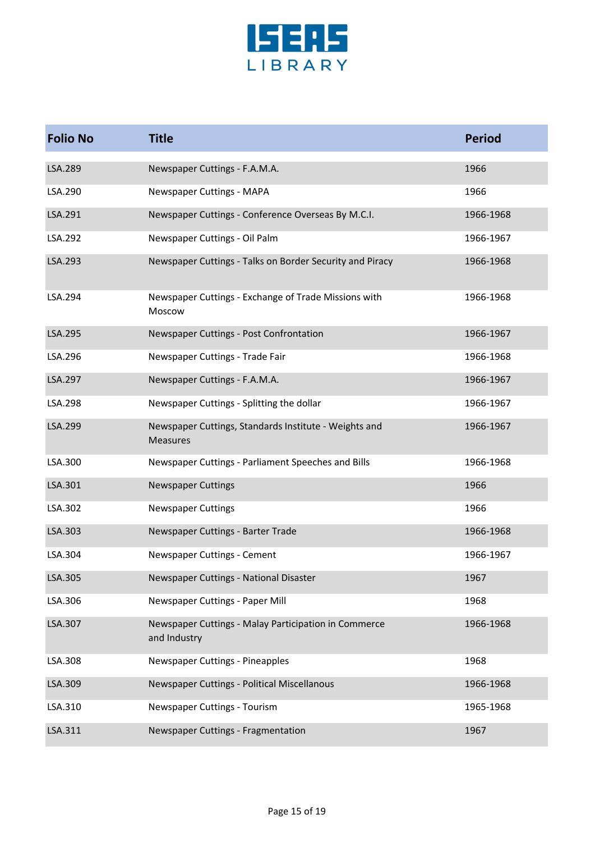

| <b>Folio No</b> | <b>Title</b>                                                             | <b>Period</b> |
|-----------------|--------------------------------------------------------------------------|---------------|
| LSA.289         | Newspaper Cuttings - F.A.M.A.                                            | 1966          |
| LSA.290         | Newspaper Cuttings - MAPA                                                | 1966          |
| LSA.291         | Newspaper Cuttings - Conference Overseas By M.C.I.                       | 1966-1968     |
| LSA.292         | Newspaper Cuttings - Oil Palm                                            | 1966-1967     |
| LSA.293         | Newspaper Cuttings - Talks on Border Security and Piracy                 | 1966-1968     |
| LSA.294         | Newspaper Cuttings - Exchange of Trade Missions with<br>Moscow           | 1966-1968     |
| LSA.295         | Newspaper Cuttings - Post Confrontation                                  | 1966-1967     |
| LSA.296         | Newspaper Cuttings - Trade Fair                                          | 1966-1968     |
| LSA.297         | Newspaper Cuttings - F.A.M.A.                                            | 1966-1967     |
| LSA.298         | Newspaper Cuttings - Splitting the dollar                                | 1966-1967     |
| LSA.299         | Newspaper Cuttings, Standards Institute - Weights and<br><b>Measures</b> | 1966-1967     |
| LSA.300         | Newspaper Cuttings - Parliament Speeches and Bills                       | 1966-1968     |
| LSA.301         | <b>Newspaper Cuttings</b>                                                | 1966          |
| LSA.302         | <b>Newspaper Cuttings</b>                                                | 1966          |
| LSA.303         | Newspaper Cuttings - Barter Trade                                        | 1966-1968     |
| LSA.304         | Newspaper Cuttings - Cement                                              | 1966-1967     |
| LSA.305         | Newspaper Cuttings - National Disaster                                   | 1967          |
| LSA.306         | Newspaper Cuttings - Paper Mill                                          | 1968          |
| LSA.307         | Newspaper Cuttings - Malay Participation in Commerce<br>and Industry     | 1966-1968     |
| LSA.308         | Newspaper Cuttings - Pineapples                                          | 1968          |
| LSA.309         | Newspaper Cuttings - Political Miscellanous                              | 1966-1968     |
| LSA.310         | Newspaper Cuttings - Tourism                                             | 1965-1968     |
| LSA.311         | Newspaper Cuttings - Fragmentation                                       | 1967          |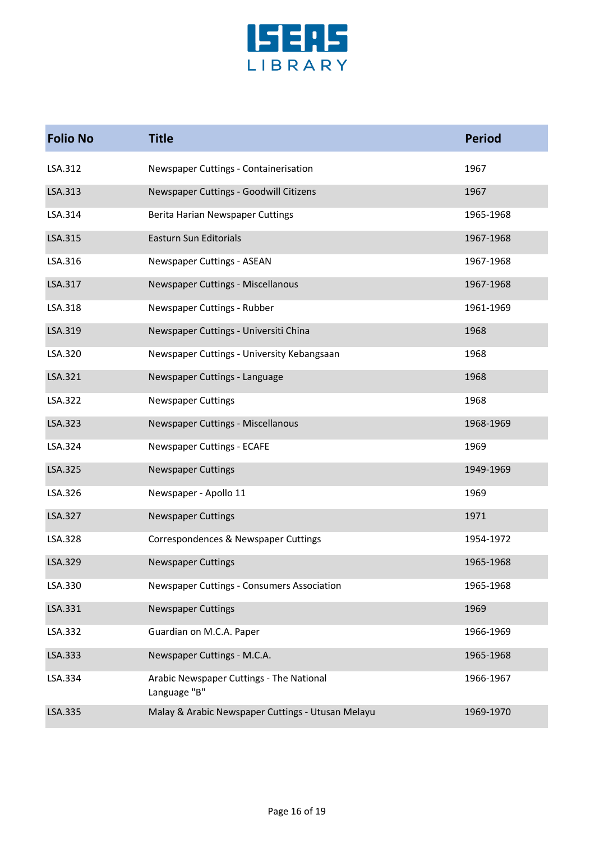

| <b>Folio No</b> | <b>Title</b>                                             | <b>Period</b> |
|-----------------|----------------------------------------------------------|---------------|
| LSA.312         | Newspaper Cuttings - Containerisation                    | 1967          |
| LSA.313         | Newspaper Cuttings - Goodwill Citizens                   | 1967          |
| LSA.314         | Berita Harian Newspaper Cuttings                         | 1965-1968     |
| LSA.315         | <b>Easturn Sun Editorials</b>                            | 1967-1968     |
| LSA.316         | Newspaper Cuttings - ASEAN                               | 1967-1968     |
| LSA.317         | Newspaper Cuttings - Miscellanous                        | 1967-1968     |
| LSA.318         | Newspaper Cuttings - Rubber                              | 1961-1969     |
| LSA.319         | Newspaper Cuttings - Universiti China                    | 1968          |
| LSA.320         | Newspaper Cuttings - University Kebangsaan               | 1968          |
| LSA.321         | Newspaper Cuttings - Language                            | 1968          |
| LSA.322         | <b>Newspaper Cuttings</b>                                | 1968          |
| LSA.323         | Newspaper Cuttings - Miscellanous                        | 1968-1969     |
| LSA.324         | Newspaper Cuttings - ECAFE                               | 1969          |
| LSA.325         | <b>Newspaper Cuttings</b>                                | 1949-1969     |
| LSA.326         | Newspaper - Apollo 11                                    | 1969          |
| LSA.327         | <b>Newspaper Cuttings</b>                                | 1971          |
| LSA.328         | Correspondences & Newspaper Cuttings                     | 1954-1972     |
| LSA.329         | <b>Newspaper Cuttings</b>                                | 1965-1968     |
| LSA.330         | Newspaper Cuttings - Consumers Association               | 1965-1968     |
| LSA.331         | <b>Newspaper Cuttings</b>                                | 1969          |
| LSA.332         | Guardian on M.C.A. Paper                                 | 1966-1969     |
| LSA.333         | Newspaper Cuttings - M.C.A.                              | 1965-1968     |
| LSA.334         | Arabic Newspaper Cuttings - The National<br>Language "B" | 1966-1967     |
| LSA.335         | Malay & Arabic Newspaper Cuttings - Utusan Melayu        | 1969-1970     |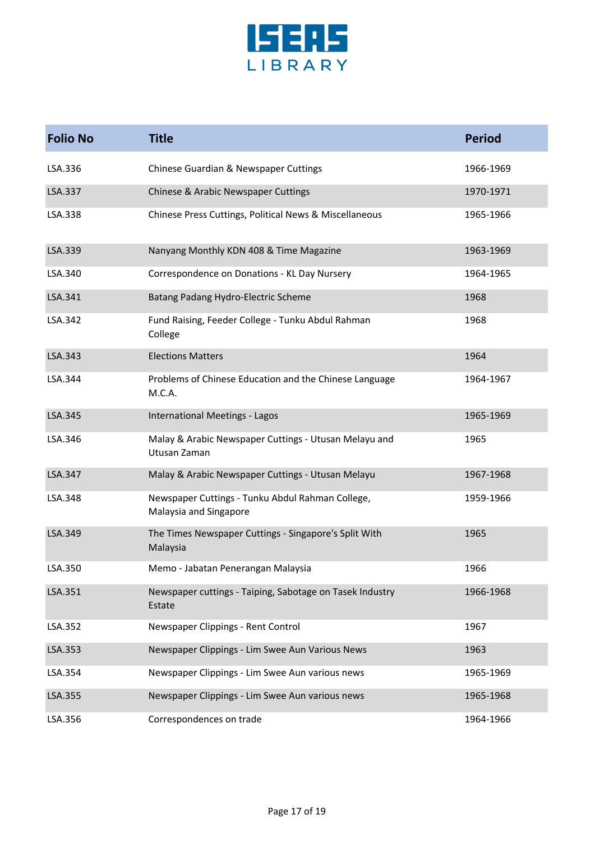

| <b>Folio No</b> | <b>Title</b>                                                               | <b>Period</b> |
|-----------------|----------------------------------------------------------------------------|---------------|
| LSA.336         | Chinese Guardian & Newspaper Cuttings                                      | 1966-1969     |
| LSA.337         | Chinese & Arabic Newspaper Cuttings                                        | 1970-1971     |
| LSA.338         | Chinese Press Cuttings, Political News & Miscellaneous                     | 1965-1966     |
| LSA.339         | Nanyang Monthly KDN 408 & Time Magazine                                    | 1963-1969     |
| LSA.340         | Correspondence on Donations - KL Day Nursery                               | 1964-1965     |
| LSA.341         | Batang Padang Hydro-Electric Scheme                                        | 1968          |
| LSA.342         | Fund Raising, Feeder College - Tunku Abdul Rahman<br>College               | 1968          |
| LSA.343         | <b>Elections Matters</b>                                                   | 1964          |
| LSA.344         | Problems of Chinese Education and the Chinese Language<br>M.C.A.           | 1964-1967     |
| LSA.345         | <b>International Meetings - Lagos</b>                                      | 1965-1969     |
| LSA.346         | Malay & Arabic Newspaper Cuttings - Utusan Melayu and<br>Utusan Zaman      | 1965          |
| LSA.347         | Malay & Arabic Newspaper Cuttings - Utusan Melayu                          | 1967-1968     |
| LSA.348         | Newspaper Cuttings - Tunku Abdul Rahman College,<br>Malaysia and Singapore | 1959-1966     |
| LSA.349         | The Times Newspaper Cuttings - Singapore's Split With<br>Malaysia          | 1965          |
| LSA.350         | Memo - Jabatan Penerangan Malaysia                                         | 1966          |
| LSA.351         | Newspaper cuttings - Taiping, Sabotage on Tasek Industry<br>Estate         | 1966-1968     |
| LSA.352         | Newspaper Clippings - Rent Control                                         | 1967          |
| LSA.353         | Newspaper Clippings - Lim Swee Aun Various News                            | 1963          |
| LSA.354         | Newspaper Clippings - Lim Swee Aun various news                            | 1965-1969     |
| LSA.355         | Newspaper Clippings - Lim Swee Aun various news                            | 1965-1968     |
| LSA.356         | Correspondences on trade                                                   | 1964-1966     |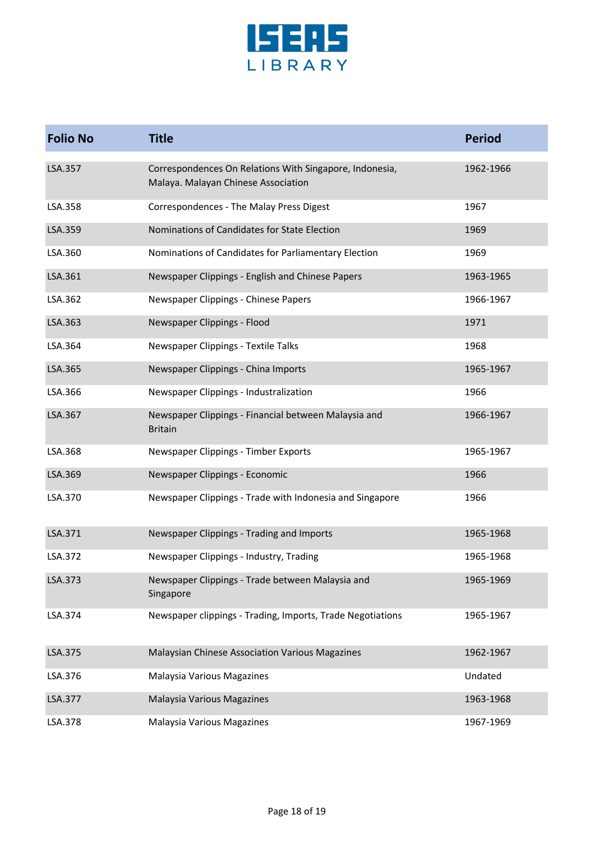

| <b>Folio No</b> | <b>Title</b>                                                                                   | <b>Period</b> |
|-----------------|------------------------------------------------------------------------------------------------|---------------|
| LSA.357         | Correspondences On Relations With Singapore, Indonesia,<br>Malaya. Malayan Chinese Association | 1962-1966     |
| LSA.358         | Correspondences - The Malay Press Digest                                                       | 1967          |
| LSA.359         | Nominations of Candidates for State Election                                                   | 1969          |
| LSA.360         | Nominations of Candidates for Parliamentary Election                                           | 1969          |
| LSA.361         | Newspaper Clippings - English and Chinese Papers                                               | 1963-1965     |
| LSA.362         | Newspaper Clippings - Chinese Papers                                                           | 1966-1967     |
| LSA.363         | Newspaper Clippings - Flood                                                                    | 1971          |
| LSA.364         | Newspaper Clippings - Textile Talks                                                            | 1968          |
| LSA.365         | Newspaper Clippings - China Imports                                                            | 1965-1967     |
| LSA.366         | Newspaper Clippings - Industralization                                                         | 1966          |
| LSA.367         | Newspaper Clippings - Financial between Malaysia and<br><b>Britain</b>                         | 1966-1967     |
| LSA.368         | Newspaper Clippings - Timber Exports                                                           | 1965-1967     |
| LSA.369         | Newspaper Clippings - Economic                                                                 | 1966          |
| LSA.370         | Newspaper Clippings - Trade with Indonesia and Singapore                                       | 1966          |
| LSA.371         | Newspaper Clippings - Trading and Imports                                                      | 1965-1968     |
| LSA.372         | Newspaper Clippings - Industry, Trading                                                        | 1965-1968     |
| LSA.373         | Newspaper Clippings - Trade between Malaysia and<br>Singapore                                  | 1965-1969     |
| LSA.374         | Newspaper clippings - Trading, Imports, Trade Negotiations                                     | 1965-1967     |
| LSA.375         | Malaysian Chinese Association Various Magazines                                                | 1962-1967     |
| LSA.376         | Malaysia Various Magazines                                                                     | Undated       |
| LSA.377         | Malaysia Various Magazines                                                                     | 1963-1968     |
| LSA.378         | Malaysia Various Magazines                                                                     | 1967-1969     |